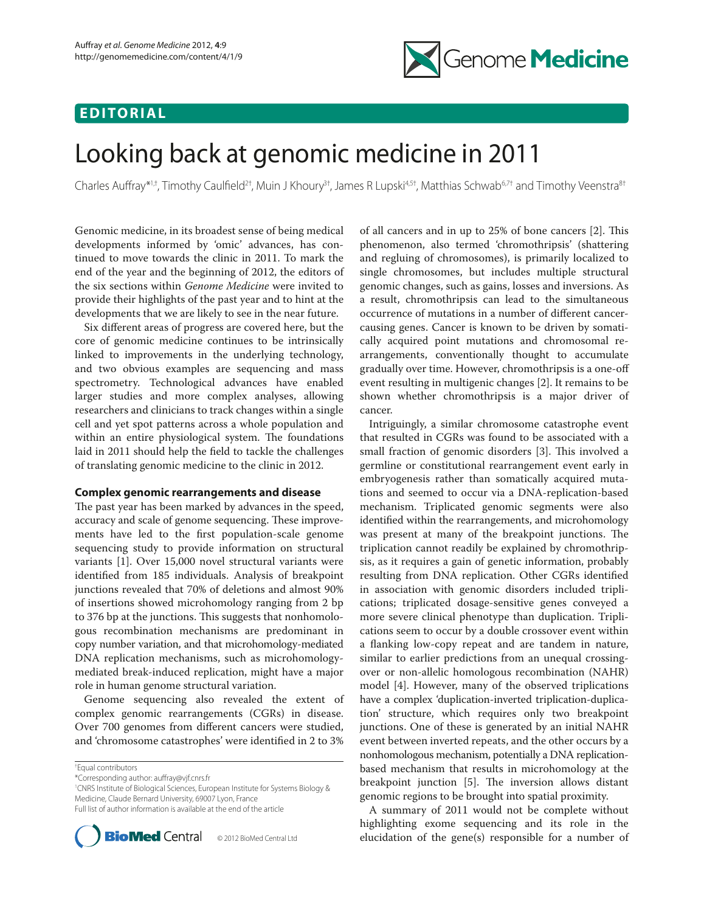## **EDITORIAL**



# Looking back at genomic medicine in 2011

Charles Auffray\*1,<sup>†</sup>, Timothy Caulfield<sup>2†</sup>, Muin J Khoury<sup>3†</sup>, James R Lupski<sup>4,5†</sup>, Matthias Schwab<sup>6,7†</sup> and Timothy Veenstra<sup>8†</sup>

Genomic medicine, in its broadest sense of being medical developments informed by 'omic' advances, has continued to move towards the clinic in 2011. To mark the end of the year and the beginning of 2012, the editors of the six sections within *Genome Medicine* were invited to provide their highlights of the past year and to hint at the developments that we are likely to see in the near future.

Six different areas of progress are covered here, but the core of genomic medicine continues to be intrinsically linked to improvements in the underlying technology, and two obvious examples are sequencing and mass spectrometry. Technological advances have enabled larger studies and more complex analyses, allowing researchers and clinicians to track changes within a single cell and yet spot patterns across a whole population and within an entire physiological system. The foundations laid in 2011 should help the field to tackle the challenges of translating genomic medicine to the clinic in 2012.

## **Complex genomic rearrangements and disease**

The past year has been marked by advances in the speed, accuracy and scale of genome sequencing. These improvements have led to the first population-scale genome sequencing study to provide information on structural variants [1]. Over 15,000 novel structural variants were identified from 185 individuals. Analysis of breakpoint junctions revealed that 70% of deletions and almost 90% of insertions showed microhomology ranging from 2 bp to 376 bp at the junctions. This suggests that nonhomologous recombination mechanisms are predominant in copy number variation, and that microhomology-mediated DNA replication mechanisms, such as microhomologymediated break-induced replication, might have a major role in human genome structural variation.

Genome sequencing also revealed the extent of complex genomic rearrangements (CGRs) in disease. Over 700 genomes from different cancers were studied, and 'chromosome catastrophes' were identified in 2 to 3%

† Equal contributors

\*Corresponding author: auffray@vjf.cnrs.fr

1 CNRS Institute of Biological Sciences, European Institute for Systems Biology & Medicine, Claude Bernard University, 69007 Lyon, France Full list of author information is available at the end of the article





of all cancers and in up to  $25%$  of bone cancers  $[2]$ . This phenomenon, also termed 'chromothripsis' (shattering and regluing of chromosomes), is primarily localized to single chromosomes, but includes multiple structural genomic changes, such as gains, losses and inversions. As a result, chromothripsis can lead to the simultaneous occurrence of mutations in a number of different cancercausing genes. Cancer is known to be driven by somatically acquired point mutations and chromosomal rearrangements, conventionally thought to accumulate gradually over time. However, chromothripsis is a one-off event resulting in multigenic changes [2]. It remains to be shown whether chromothripsis is a major driver of cancer.

Intriguingly, a similar chromosome catastrophe event that resulted in CGRs was found to be associated with a small fraction of genomic disorders [3]. This involved a germline or constitutional rearrangement event early in embryogenesis rather than somatically acquired mutations and seemed to occur via a DNA-replication-based mechanism. Triplicated genomic segments were also identified within the rearrangements, and microhomology was present at many of the breakpoint junctions. The triplication cannot readily be explained by chromothripsis, as it requires a gain of genetic information, probably resulting from DNA replication. Other CGRs identified in association with genomic disorders included triplications; triplicated dosage-sensitive genes conveyed a more severe clinical phenotype than duplication. Triplications seem to occur by a double crossover event within a flanking low-copy repeat and are tandem in nature, similar to earlier predictions from an unequal crossingover or non-allelic homologous recombination (NAHR) model [4]. However, many of the observed triplications have a complex 'duplication-inverted triplication-duplication' structure, which requires only two breakpoint junctions. One of these is generated by an initial NAHR event between inverted repeats, and the other occurs by a nonhomologous mechanism, potentially a DNA replicationbased mechanism that results in microhomology at the breakpoint junction [5]. The inversion allows distant genomic regions to be brought into spatial proximity.

A summary of 2011 would not be complete without highlighting exome sequencing and its role in the elucidation of the gene(s) responsible for a number of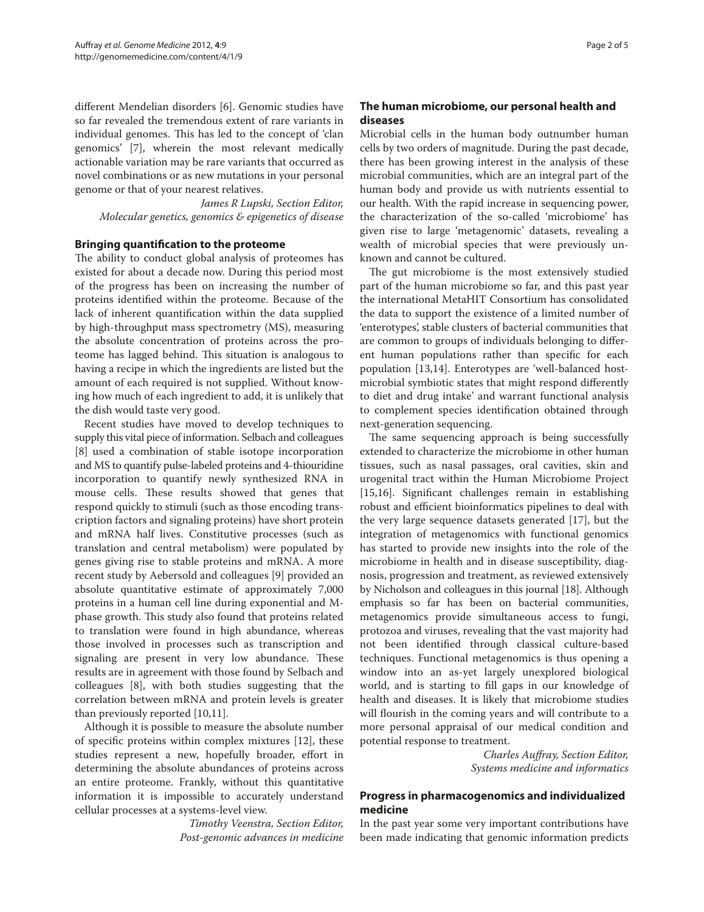different Mendelian disorders [6]. Genomic studies have so far revealed the tremendous extent of rare variants in individual genomes. This has led to the concept of 'clan genomics' [7], wherein the most relevant medically actionable variation may be rare variants that occurred as novel combinations or as new mutations in your personal genome or that of your nearest relatives.

*James R Lupski, Section Editor, Molecular genetics, genomics & epigenetics of disease*

## **Bringing quantification to the proteome**

The ability to conduct global analysis of proteomes has existed for about a decade now. During this period most of the progress has been on increasing the number of proteins identified within the proteome. Because of the lack of inherent quantification within the data supplied by high-throughput mass spectrometry (MS), measuring the absolute concentration of proteins across the proteome has lagged behind. This situation is analogous to having a recipe in which the ingredients are listed but the amount of each required is not supplied. Without knowing how much of each ingredient to add, it is unlikely that the dish would taste very good.

Recent studies have moved to develop techniques to supply this vital piece of information. Selbach and colleagues [8] used a combination of stable isotope incorporation and MS to quantify pulse-labeled proteins and 4-thiouridine incorporation to quantify newly synthesized RNA in mouse cells. These results showed that genes that respond quickly to stimuli (such as those encoding transcription factors and signaling proteins) have short protein and mRNA half lives. Constitutive processes (such as translation and central metabolism) were populated by genes giving rise to stable proteins and mRNA. A more recent study by Aebersold and colleagues [9] provided an absolute quantitative estimate of approximately 7,000 proteins in a human cell line during exponential and Mphase growth. This study also found that proteins related to translation were found in high abundance, whereas those involved in processes such as transcription and signaling are present in very low abundance. These results are in agreement with those found by Selbach and colleagues [8], with both studies suggesting that the correlation between mRNA and protein levels is greater than previously reported [10,11].

Although it is possible to measure the absolute number of specific proteins within complex mixtures [12], these studies represent a new, hopefully broader, effort in determining the absolute abundances of proteins across an entire proteome. Frankly, without this quantitative information it is impossible to accurately understand cellular processes at a systems-level view.

> *Timothy Veenstra, Section Editor, Post-genomic advances in medicine*

## **The human microbiome, our personal health and diseases**

Microbial cells in the human body outnumber human cells by two orders of magnitude. During the past decade, there has been growing interest in the analysis of these microbial communities, which are an integral part of the human body and provide us with nutrients essential to our health. With the rapid increase in sequencing power, the characterization of the so-called 'microbiome' has given rise to large 'metagenomic' datasets, revealing a wealth of microbial species that were previously unknown and cannot be cultured.

The gut microbiome is the most extensively studied part of the human microbiome so far, and this past year the international MetaHIT Consortium has consolidated the data to support the existence of a limited number of 'enterotypes', stable clusters of bacterial communities that are common to groups of individuals belonging to different human populations rather than specific for each population [13,14]. Enterotypes are 'well-balanced hostmicrobial symbiotic states that might respond differently to diet and drug intake' and warrant functional analysis to complement species identification obtained through next-generation sequencing.

The same sequencing approach is being successfully extended to characterize the microbiome in other human tissues, such as nasal passages, oral cavities, skin and urogenital tract within the Human Microbiome Project [15,16]. Significant challenges remain in establishing robust and efficient bioinformatics pipelines to deal with the very large sequence datasets generated [17], but the integration of metagenomics with functional genomics has started to provide new insights into the role of the microbiome in health and in disease susceptibility, diagnosis, progression and treatment, as reviewed extensively by Nicholson and colleagues in this journal [18]. Although emphasis so far has been on bacterial communities, metagenomics provide simultaneous access to fungi, protozoa and viruses, revealing that the vast majority had not been identified through classical culture-based techniques. Functional metagenomics is thus opening a window into an as-yet largely unexplored biological world, and is starting to fill gaps in our knowledge of health and diseases. It is likely that microbiome studies will flourish in the coming years and will contribute to a more personal appraisal of our medical condition and potential response to treatment.

> *Charles Auffray, Section Editor, Systems medicine and informatics*

## **Progress in pharmacogenomics and individualized medicine**

In the past year some very important contributions have been made indicating that genomic information predicts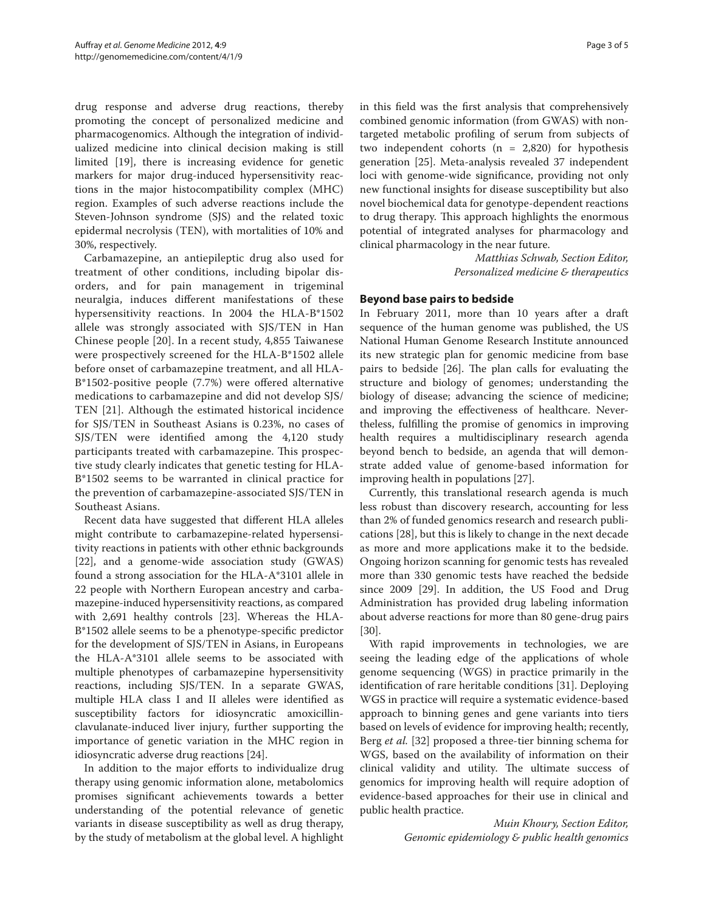drug response and adverse drug reactions, thereby promoting the concept of personalized medicine and pharmacogenomics. Although the integration of individualized medicine into clinical decision making is still limited [19], there is increasing evidence for genetic markers for major drug-induced hypersensitivity reactions in the major histocompatibility complex (MHC) region. Examples of such adverse reactions include the Steven-Johnson syndrome (SJS) and the related toxic epidermal necrolysis (TEN), with mortalities of 10% and 30%, respectively.

Carbamazepine, an antiepileptic drug also used for treatment of other conditions, including bipolar disorders, and for pain management in trigeminal neuralgia, induces different manifestations of these hypersensitivity reactions. In 2004 the HLA-B\*1502 allele was strongly associated with SJS/TEN in Han Chinese people [20]. In a recent study, 4,855 Taiwanese were prospectively screened for the HLA-B\*1502 allele before onset of carbamazepine treatment, and all HLA-B\*1502-positive people (7.7%) were offered alternative medications to carbamazepine and did not develop SJS/ TEN [21]. Although the estimated historical incidence for SJS/TEN in Southeast Asians is 0.23%, no cases of SJS/TEN were identified among the 4,120 study participants treated with carbamazepine. This prospective study clearly indicates that genetic testing for HLA-B\*1502 seems to be warranted in clinical practice for the prevention of carbamazepine-associated SJS/TEN in Southeast Asians.

Recent data have suggested that different HLA alleles might contribute to carbamazepine-related hypersensitivity reactions in patients with other ethnic backgrounds [22], and a genome-wide association study (GWAS) found a strong association for the HLA-A\*3101 allele in 22 people with Northern European ancestry and carbamazepine-induced hypersensitivity reactions, as compared with 2,691 healthy controls [23]. Whereas the HLA-B\*1502 allele seems to be a phenotype-specific predictor for the development of SJS/TEN in Asians, in Europeans the HLA-A\*3101 allele seems to be associated with multiple phenotypes of carbamazepine hypersensitivity reactions, including SJS/TEN. In a separate GWAS, multiple HLA class I and II alleles were identified as susceptibility factors for idiosyncratic amoxicillinclavulanate-induced liver injury, further supporting the importance of genetic variation in the MHC region in idiosyncratic adverse drug reactions [24].

In addition to the major efforts to individualize drug therapy using genomic information alone, metabolomics promises significant achievements towards a better understanding of the potential relevance of genetic variants in disease susceptibility as well as drug therapy, by the study of metabolism at the global level. A highlight in this field was the first analysis that comprehensively combined genomic information (from GWAS) with nontargeted metabolic profiling of serum from subjects of two independent cohorts  $(n = 2,820)$  for hypothesis generation [25]. Meta-analysis revealed 37 independent loci with genome-wide significance, providing not only new functional insights for disease susceptibility but also novel biochemical data for genotype-dependent reactions to drug therapy. This approach highlights the enormous potential of integrated analyses for pharmacology and clinical pharmacology in the near future.

> *Matthias Schwab, Section Editor, Personalized medicine & therapeutics*

## **Beyond base pairs to bedside**

In February 2011, more than 10 years after a draft sequence of the human genome was published, the US National Human Genome Research Institute announced its new strategic plan for genomic medicine from base pairs to bedside [26]. The plan calls for evaluating the structure and biology of genomes; understanding the biology of disease; advancing the science of medicine; and improving the effectiveness of healthcare. Nevertheless, fulfilling the promise of genomics in improving health requires a multidisciplinary research agenda beyond bench to bedside, an agenda that will demonstrate added value of genome-based information for improving health in populations [27].

Currently, this translational research agenda is much less robust than discovery research, accounting for less than 2% of funded genomics research and research publications [28], but this is likely to change in the next decade as more and more applications make it to the bedside. Ongoing horizon scanning for genomic tests has revealed more than 330 genomic tests have reached the bedside since 2009 [29]. In addition, the US Food and Drug Administration has provided drug labeling information about adverse reactions for more than 80 gene-drug pairs [30].

With rapid improvements in technologies, we are seeing the leading edge of the applications of whole genome sequencing (WGS) in practice primarily in the identification of rare heritable conditions [31]. Deploying WGS in practice will require a systematic evidence-based approach to binning genes and gene variants into tiers based on levels of evidence for improving health; recently, Berg *et al.* [32] proposed a three-tier binning schema for WGS, based on the availability of information on their clinical validity and utility. The ultimate success of genomics for improving health will require adoption of evidence-based approaches for their use in clinical and public health practice.

> *Muin Khoury, Section Editor, Genomic epidemiology & public health genomics*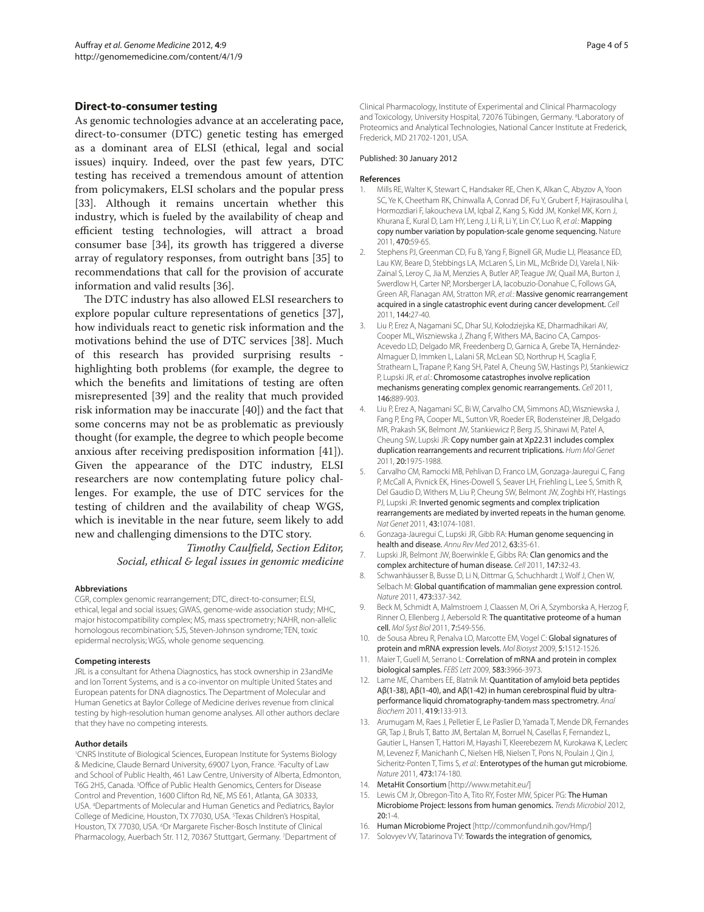## **Direct-to-consumer testing**

As genomic technologies advance at an accelerating pace, direct-to-consumer (DTC) genetic testing has emerged as a dominant area of ELSI (ethical, legal and social issues) inquiry. Indeed, over the past few years, DTC testing has received a tremendous amount of attention from policymakers, ELSI scholars and the popular press [33]. Although it remains uncertain whether this industry, which is fueled by the availability of cheap and efficient testing technologies, will attract a broad consumer base [34], its growth has triggered a diverse array of regulatory responses, from outright bans [35] to recommendations that call for the provision of accurate information and valid results [36].

The DTC industry has also allowed ELSI researchers to explore popular culture representations of genetics [37], how individuals react to genetic risk information and the motivations behind the use of DTC services [38]. Much of this research has provided surprising results highlighting both problems (for example, the degree to which the benefits and limitations of testing are often misrepresented [39] and the reality that much provided risk information may be inaccurate [40]) and the fact that some concerns may not be as problematic as previously thought (for example, the degree to which people become anxious after receiving predisposition information [41]). Given the appearance of the DTC industry, ELSI researchers are now contemplating future policy challenges. For example, the use of DTC services for the testing of children and the availability of cheap WGS, which is inevitable in the near future, seem likely to add new and challenging dimensions to the DTC story.

> *Timothy Caulfield, Section Editor, Social, ethical & legal issues in genomic medicine*

#### **Abbreviations**

CGR, complex genomic rearrangement; DTC, direct-to-consumer; ELSI, ethical, legal and social issues; GWAS, genome-wide association study; MHC, major histocompatibility complex; MS, mass spectrometry; NAHR, non-allelic homologous recombination; SJS, Steven-Johnson syndrome; TEN, toxic epidermal necrolysis; WGS, whole genome sequencing.

#### **Competing interests**

JRL is a consultant for Athena Diagnostics, has stock ownership in 23andMe and Ion Torrent Systems, and is a co-inventor on multiple United States and European patents for DNA diagnostics. The Department of Molecular and Human Genetics at Baylor College of Medicine derives revenue from clinical testing by high-resolution human genome analyses. All other authors declare that they have no competing interests.

#### **Author details**

1 CNRS Institute of Biological Sciences, European Institute for Systems Biology & Medicine, Claude Bernard University, 69007 Lyon, France. 2 Faculty of Law and School of Public Health, 461 Law Centre, University of Alberta, Edmonton, T6G 2H5, Canada. 3 Office of Public Health Genomics, Centers for Disease Control and Prevention, 1600 Clifton Rd, NE, MS E61, Atlanta, GA 30333, USA. 4 Departments of Molecular and Human Genetics and Pediatrics, Baylor College of Medicine, Houston, TX 77030, USA. 5 Texas Children's Hospital, Houston, TX 77030, USA. <sup>6</sup>Dr Margarete Fischer-Bosch Institute of Clinical Pharmacology, Auerbach Str. 112, 70367 Stuttgart, Germany. 7 Department of

Clinical Pharmacology, Institute of Experimental and Clinical Pharmacology and Toxicology, University Hospital, 72076 Tübingen, Germany. <sup>8</sup>Laboratory of Proteomics and Analytical Technologies, National Cancer Institute at Frederick, Frederick, MD 21702-1201, USA.

#### Published: 30 January 2012

#### **References**

- 1. Mills RE, Walter K, Stewart C, Handsaker RE, Chen K, Alkan C, Abyzov A, Yoon SC, Ye K, Cheetham RK, Chinwalla A, Conrad DF, Fu Y, Grubert F, Hajirasouliha I, Hormozdiari F, Iakoucheva LM, Iqbal Z, Kang S, Kidd JM, Konkel MK, Korn J, Khurana E, Kural D, Lam HY, Leng J, Li R, Li Y, Lin CY, Luo R, *et al.*: Mapping copy number variation by population-scale genome sequencing. Nature 2011, 470:59-65.
- 2. Stephens PJ, Greenman CD, Fu B, Yang F, Bignell GR, Mudie LJ, Pleasance ED, Lau KW, Beare D, Stebbings LA, McLaren S, Lin ML, McBride DJ, Varela I, Nik-Zainal S, Leroy C, Jia M, Menzies A, Butler AP, Teague JW, Quail MA, Burton J, Swerdlow H, Carter NP, Morsberger LA, Iacobuzio-Donahue C, Follows GA, Green AR, Flanagan AM, Stratton MR, *et al.*: Massive genomic rearrangement acquired in a single catastrophic event during cancer development. *Cell*  2011, 144:27-40.
- 3. Liu P, Erez A, Nagamani SC, Dhar SU, Kołodziejska KE, Dharmadhikari AV, Cooper ML, Wiszniewska J, Zhang F, Withers MA, Bacino CA, Campos-Acevedo LD, Delgado MR, Freedenberg D, Garnica A, Grebe TA, Hernández-Almaguer D, Immken L, Lalani SR, McLean SD, Northrup H, Scaglia F, Strathearn L, Trapane P, Kang SH, Patel A, Cheung SW, Hastings PJ, Stankiewicz P, Lupski JR, *et al.*: Chromosome catastrophes involve replication mechanisms generating complex genomic rearrangements. *Cell* 2011, 146:889-903.
- 4. Liu P, Erez A, Nagamani SC, Bi W, Carvalho CM, Simmons AD, Wiszniewska J, Fang P, Eng PA, Cooper ML, Sutton VR, Roeder ER, Bodensteiner JB, Delgado MR, Prakash SK, Belmont JW, Stankiewicz P, Berg JS, Shinawi M, Patel A, Cheung SW, Lupski JR: Copy number gain at Xp22.31 includes complex duplication rearrangements and recurrent triplications. *Hum Mol Genet*  2011, 20:1975-1988.
- 5. Carvalho CM, Ramocki MB, Pehlivan D, Franco LM, Gonzaga-Jauregui C, Fang P, McCall A, Pivnick EK, Hines-Dowell S, Seaver LH, Friehling L, Lee S, Smith R, Del Gaudio D, Withers M, Liu P, Cheung SW, Belmont JW, Zoghbi HY, Hastings PJ, Lupski JR: Inverted genomic segments and complex triplication rearrangements are mediated by inverted repeats in the human genome. *Nat Genet* 2011, 43:1074-1081.
- 6. Gonzaga-Jauregui C, Lupski JR, Gibb RA: Human genome sequencing in health and disease. *Annu Rev Med* 2012, 63:35-61.
- 7. Lupski JR, Belmont JW, Boerwinkle E, Gibbs RA: Clan genomics and the complex architecture of human disease. *Cell* 2011, 147:32-43.
- 8. Schwanhäusser B, Busse D, Li N, Dittmar G, Schuchhardt J, Wolf J, Chen W, Selbach M: Global quantification of mammalian gene expression control. *Nature* 2011, 473:337-342.
- 9. Beck M, Schmidt A, Malmstroem J, Claassen M, Ori A, Szymborska A, Herzog F, Rinner O, Ellenberg J, Aebersold R: The quantitative proteome of a human cell. *Mol Syst Biol* 2011, 7:549-556.
- 10. de Sousa Abreu R, Penalva LO, Marcotte EM, Vogel C: Global signatures of protein and mRNA expression levels. *Mol Biosyst* 2009, 5:1512-1526.
- 11. Maier T, Guell M, Serrano L: Correlation of mRNA and protein in complex biological samples. *FEBS Lett* 2009, 583:3966-3973.
- 12. Lame ME, Chambers EE, Blatnik M: Quantitation of amyloid beta peptides Aβ(1-38), Aβ(1-40), and Aβ(1-42) in human cerebrospinal fluid by ultraperformance liquid chromatography-tandem mass spectrometry. *Anal Biochem* 2011, 419:133-913.
- 13. Arumugam M, Raes J, Pelletier E, Le Paslier D, Yamada T, Mende DR, Fernandes GR, Tap J, Bruls T, Batto JM, Bertalan M, Borruel N, Casellas F, Fernandez L, Gautier L, Hansen T, Hattori M, Hayashi T, Kleerebezem M, Kurokawa K, Leclerc M, Levenez F, Manichanh C, Nielsen HB, Nielsen T, Pons N, Poulain J, Qin J, Sicheritz-Ponten T, Tims S, *et al.*: Enterotypes of the human gut microbiome. *Nature* 2011, 473:174-180.
- 14. MetaHit Consortium [http://www.metahit.eu/]
- 15. Lewis CM Jr, Obregon-Tito A, Tito RY, Foster MW, Spicer PG: The Human Microbiome Project: lessons from human genomics. *Trends Microbiol* 2012, 20:1-4.
- 16. Human Microbiome Project [http://commonfund.nih.gov/Hmp/]
- 17. Solovyev W, Tatarinova TV: Towards the integration of genomics,